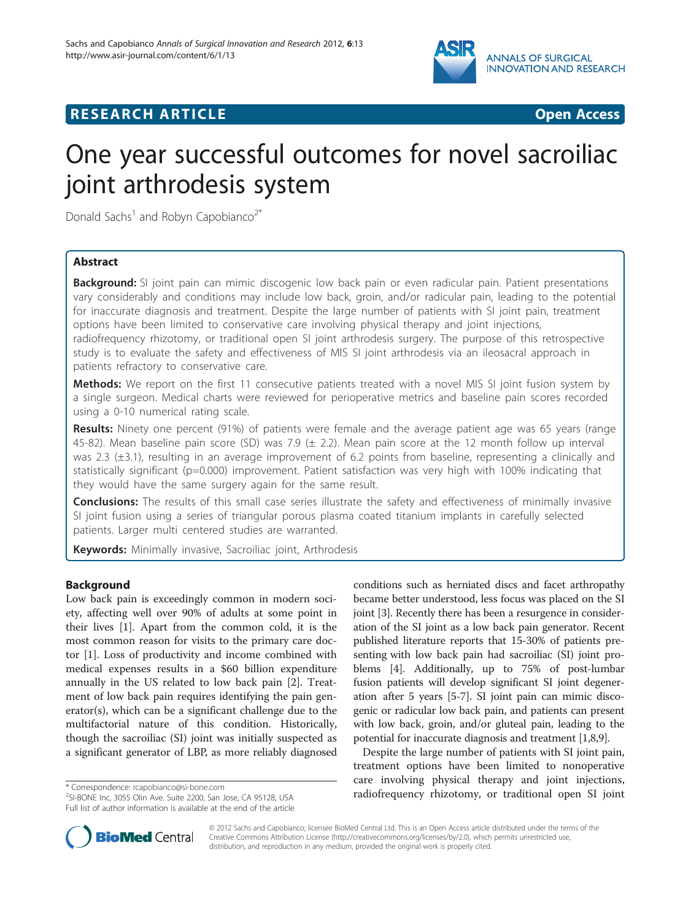

# **RESEARCH ARTICLE Example 2014 CONSIDERING CONSIDERING CONSIDERING CONSIDERING CONSIDERING CONSIDERING CONSIDERING CONSIDERING CONSIDERING CONSIDERING CONSIDERING CONSIDERING CONSIDERING CONSIDERING CONSIDERING CONSIDE**

# One year successful outcomes for novel sacroiliac joint arthrodesis system

Donald Sachs<sup>1</sup> and Robyn Capobianco<sup>2\*</sup>

# Abstract

Background: SI joint pain can mimic discogenic low back pain or even radicular pain. Patient presentations vary considerably and conditions may include low back, groin, and/or radicular pain, leading to the potential for inaccurate diagnosis and treatment. Despite the large number of patients with SI joint pain, treatment options have been limited to conservative care involving physical therapy and joint injections, radiofrequency rhizotomy, or traditional open SI joint arthrodesis surgery. The purpose of this retrospective study is to evaluate the safety and effectiveness of MIS SI joint arthrodesis via an ileosacral approach in patients refractory to conservative care.

Methods: We report on the first 11 consecutive patients treated with a novel MIS SI joint fusion system by a single surgeon. Medical charts were reviewed for perioperative metrics and baseline pain scores recorded using a 0-10 numerical rating scale.

Results: Ninety one percent (91%) of patients were female and the average patient age was 65 years (range 45-82). Mean baseline pain score (SD) was 7.9 ( $\pm$  2.2). Mean pain score at the 12 month follow up interval was 2.3 (±3.1), resulting in an average improvement of 6.2 points from baseline, representing a clinically and statistically significant (p=0.000) improvement. Patient satisfaction was very high with 100% indicating that they would have the same surgery again for the same result.

**Conclusions:** The results of this small case series illustrate the safety and effectiveness of minimally invasive SI joint fusion using a series of triangular porous plasma coated titanium implants in carefully selected patients. Larger multi centered studies are warranted.

Keywords: Minimally invasive, Sacroiliac joint, Arthrodesis

# Background

Low back pain is exceedingly common in modern society, affecting well over 90% of adults at some point in their lives [\[1\]](#page-3-0). Apart from the common cold, it is the most common reason for visits to the primary care doctor [[1](#page-3-0)]. Loss of productivity and income combined with medical expenses results in a \$60 billion expenditure annually in the US related to low back pain [[2\]](#page-3-0). Treatment of low back pain requires identifying the pain generator(s), which can be a significant challenge due to the multifactorial nature of this condition. Historically, though the sacroiliac (SI) joint was initially suspected as a significant generator of LBP, as more reliably diagnosed

SI-BONE Inc, 3055 Olin Ave. Suite 2200, San Jose, CA 95128, USA Full list of author information is available at the end of the article conditions such as herniated discs and facet arthropathy became better understood, less focus was placed on the SI joint [[3](#page-3-0)]. Recently there has been a resurgence in consideration of the SI joint as a low back pain generator. Recent published literature reports that 15-30% of patients presenting with low back pain had sacroiliac (SI) joint problems [\[4](#page-3-0)]. Additionally, up to 75% of post-lumbar fusion patients will develop significant SI joint degeneration after 5 years [[5-7\]](#page-3-0). SI joint pain can mimic discogenic or radicular low back pain, and patients can present with low back, groin, and/or gluteal pain, leading to the potential for inaccurate diagnosis and treatment [\[1,8,9\]](#page-3-0).

Despite the large number of patients with SI joint pain, treatment options have been limited to nonoperative care involving physical therapy and joint injections, \* Correspondence: [rcapobianco@si-bone.com](mailto:rcapobianco@si-bone.com)<br>
<sup>2</sup>SLRONE Inc. 3055 Olin Ave. Suite 2200. San Jose CA 95128 USA **200 radiofrequency rhizotomy, or traditional open SI joint** 



© 2012 Sachs and Capobianco; licensee BioMed Central Ltd. This is an Open Access article distributed under the terms of the Creative Commons Attribution License (<http://creativecommons.org/licenses/by/2.0>), which permits unrestricted use, distribution, and reproduction in any medium, provided the original work is properly cited.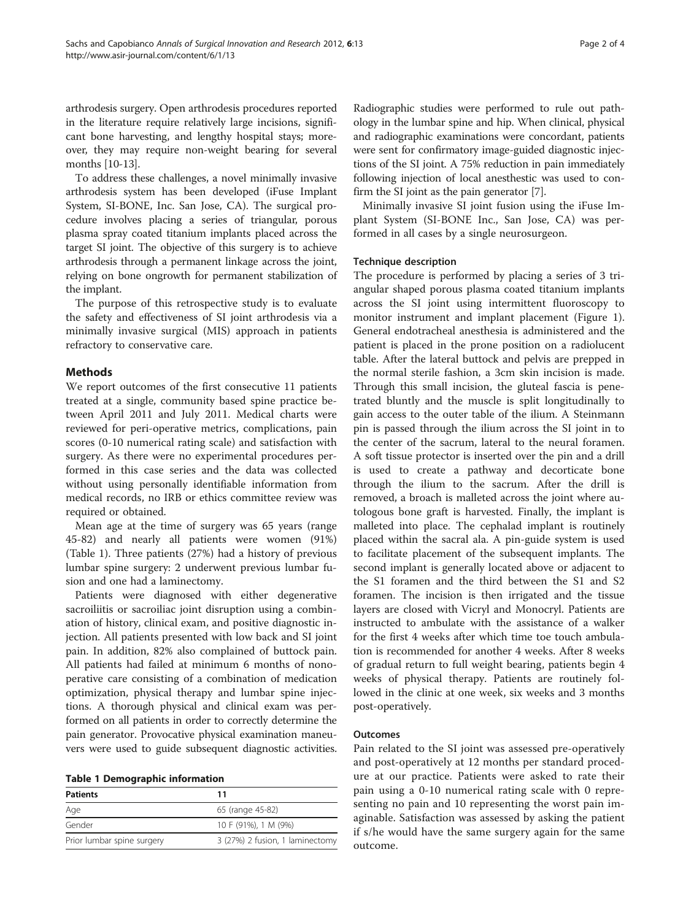arthrodesis surgery. Open arthrodesis procedures reported in the literature require relatively large incisions, significant bone harvesting, and lengthy hospital stays; moreover, they may require non-weight bearing for several months [[10-13\]](#page-3-0).

To address these challenges, a novel minimally invasive arthrodesis system has been developed (iFuse Implant System, SI-BONE, Inc. San Jose, CA). The surgical procedure involves placing a series of triangular, porous plasma spray coated titanium implants placed across the target SI joint. The objective of this surgery is to achieve arthrodesis through a permanent linkage across the joint, relying on bone ongrowth for permanent stabilization of the implant.

The purpose of this retrospective study is to evaluate the safety and effectiveness of SI joint arthrodesis via a minimally invasive surgical (MIS) approach in patients refractory to conservative care.

# Methods

We report outcomes of the first consecutive 11 patients treated at a single, community based spine practice between April 2011 and July 2011. Medical charts were reviewed for peri-operative metrics, complications, pain scores (0-10 numerical rating scale) and satisfaction with surgery. As there were no experimental procedures performed in this case series and the data was collected without using personally identifiable information from medical records, no IRB or ethics committee review was required or obtained.

Mean age at the time of surgery was 65 years (range 45-82) and nearly all patients were women (91%) (Table 1). Three patients (27%) had a history of previous lumbar spine surgery: 2 underwent previous lumbar fusion and one had a laminectomy.

Patients were diagnosed with either degenerative sacroiliitis or sacroiliac joint disruption using a combination of history, clinical exam, and positive diagnostic injection. All patients presented with low back and SI joint pain. In addition, 82% also complained of buttock pain. All patients had failed at minimum 6 months of nonoperative care consisting of a combination of medication optimization, physical therapy and lumbar spine injections. A thorough physical and clinical exam was performed on all patients in order to correctly determine the pain generator. Provocative physical examination maneuvers were used to guide subsequent diagnostic activities.

| <b>Patients</b>            | 11                              |  |
|----------------------------|---------------------------------|--|
| Age                        | 65 (range 45-82)                |  |
| Gender                     | 10 F (91%), 1 M (9%)            |  |
| Prior lumbar spine surgery | 3 (27%) 2 fusion, 1 laminectomy |  |

Radiographic studies were performed to rule out pathology in the lumbar spine and hip. When clinical, physical and radiographic examinations were concordant, patients were sent for confirmatory image-guided diagnostic injections of the SI joint. A 75% reduction in pain immediately following injection of local anesthestic was used to confirm the SI joint as the pain generator [\[7\]](#page-3-0).

Minimally invasive SI joint fusion using the iFuse Implant System (SI-BONE Inc., San Jose, CA) was performed in all cases by a single neurosurgeon.

#### Technique description

The procedure is performed by placing a series of 3 triangular shaped porous plasma coated titanium implants across the SI joint using intermittent fluoroscopy to monitor instrument and implant placement (Figure [1](#page-2-0)). General endotracheal anesthesia is administered and the patient is placed in the prone position on a radiolucent table. After the lateral buttock and pelvis are prepped in the normal sterile fashion, a 3cm skin incision is made. Through this small incision, the gluteal fascia is penetrated bluntly and the muscle is split longitudinally to gain access to the outer table of the ilium. A Steinmann pin is passed through the ilium across the SI joint in to the center of the sacrum, lateral to the neural foramen. A soft tissue protector is inserted over the pin and a drill is used to create a pathway and decorticate bone through the ilium to the sacrum. After the drill is removed, a broach is malleted across the joint where autologous bone graft is harvested. Finally, the implant is malleted into place. The cephalad implant is routinely placed within the sacral ala. A pin-guide system is used to facilitate placement of the subsequent implants. The second implant is generally located above or adjacent to the S1 foramen and the third between the S1 and S2 foramen. The incision is then irrigated and the tissue layers are closed with Vicryl and Monocryl. Patients are instructed to ambulate with the assistance of a walker for the first 4 weeks after which time toe touch ambulation is recommended for another 4 weeks. After 8 weeks of gradual return to full weight bearing, patients begin 4 weeks of physical therapy. Patients are routinely followed in the clinic at one week, six weeks and 3 months post-operatively.

#### **Outcomes**

Pain related to the SI joint was assessed pre-operatively and post-operatively at 12 months per standard procedure at our practice. Patients were asked to rate their pain using a 0-10 numerical rating scale with 0 representing no pain and 10 representing the worst pain imaginable. Satisfaction was assessed by asking the patient if s/he would have the same surgery again for the same outcome.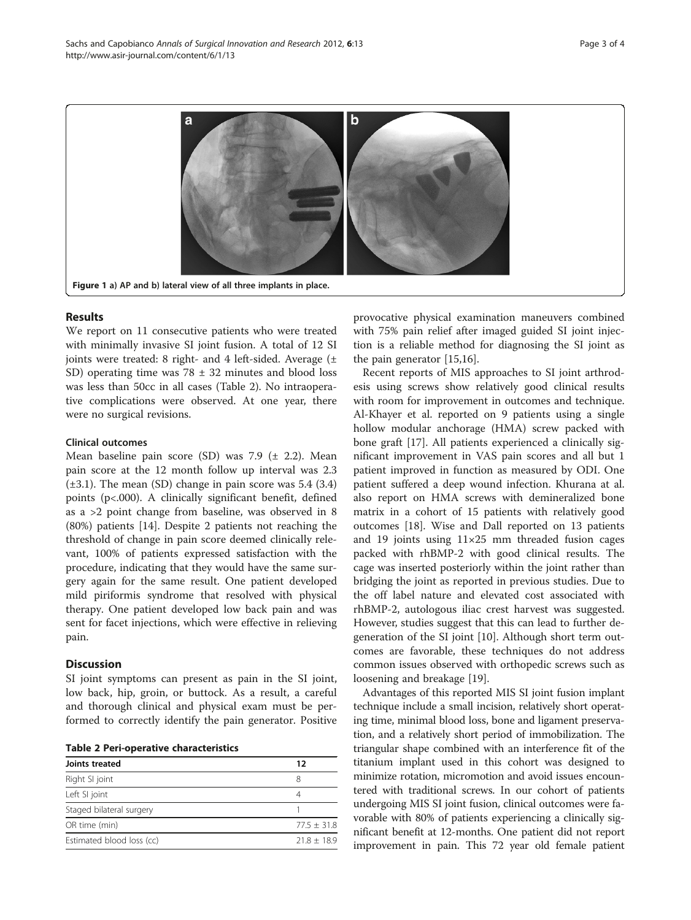<span id="page-2-0"></span>

## Results

We report on 11 consecutive patients who were treated with minimally invasive SI joint fusion. A total of 12 SI joints were treated: 8 right- and 4 left-sided. Average  $(\pm$ SD) operating time was  $78 \pm 32$  minutes and blood loss was less than 50cc in all cases (Table 2). No intraoperative complications were observed. At one year, there were no surgical revisions.

### Clinical outcomes

Mean baseline pain score (SD) was 7.9  $(\pm 2.2)$ . Mean pain score at the 12 month follow up interval was 2.3  $(\pm 3.1)$ . The mean (SD) change in pain score was 5.4 (3.4) points (p<.000). A clinically significant benefit, defined as a >2 point change from baseline, was observed in 8 (80%) patients [[14\]](#page-3-0). Despite 2 patients not reaching the threshold of change in pain score deemed clinically relevant, 100% of patients expressed satisfaction with the procedure, indicating that they would have the same surgery again for the same result. One patient developed mild piriformis syndrome that resolved with physical therapy. One patient developed low back pain and was sent for facet injections, which were effective in relieving pain.

#### **Discussion**

SI joint symptoms can present as pain in the SI joint, low back, hip, groin, or buttock. As a result, a careful and thorough clinical and physical exam must be performed to correctly identify the pain generator. Positive

Table 2 Peri-operative characteristics

| Joints treated            | 12            |
|---------------------------|---------------|
| Right SI joint            | 8             |
| Left SI joint             | 4             |
| Staged bilateral surgery  |               |
| OR time (min)             | $77.5 + 31.8$ |
| Estimated blood loss (cc) | $21.8 + 18.9$ |

provocative physical examination maneuvers combined with 75% pain relief after imaged guided SI joint injection is a reliable method for diagnosing the SI joint as the pain generator [\[15,16\]](#page-3-0).

Recent reports of MIS approaches to SI joint arthrodesis using screws show relatively good clinical results with room for improvement in outcomes and technique. Al-Khayer et al. reported on 9 patients using a single hollow modular anchorage (HMA) screw packed with bone graft [[17\]](#page-3-0). All patients experienced a clinically significant improvement in VAS pain scores and all but 1 patient improved in function as measured by ODI. One patient suffered a deep wound infection. Khurana at al. also report on HMA screws with demineralized bone matrix in a cohort of 15 patients with relatively good outcomes [[18\]](#page-3-0). Wise and Dall reported on 13 patients and 19 joints using  $11\times25$  mm threaded fusion cages packed with rhBMP-2 with good clinical results. The cage was inserted posteriorly within the joint rather than bridging the joint as reported in previous studies. Due to the off label nature and elevated cost associated with rhBMP-2, autologous iliac crest harvest was suggested. However, studies suggest that this can lead to further degeneration of the SI joint [[10\]](#page-3-0). Although short term outcomes are favorable, these techniques do not address common issues observed with orthopedic screws such as loosening and breakage [[19\]](#page-3-0).

Advantages of this reported MIS SI joint fusion implant technique include a small incision, relatively short operating time, minimal blood loss, bone and ligament preservation, and a relatively short period of immobilization. The triangular shape combined with an interference fit of the titanium implant used in this cohort was designed to minimize rotation, micromotion and avoid issues encountered with traditional screws. In our cohort of patients undergoing MIS SI joint fusion, clinical outcomes were favorable with 80% of patients experiencing a clinically significant benefit at 12-months. One patient did not report improvement in pain. This 72 year old female patient